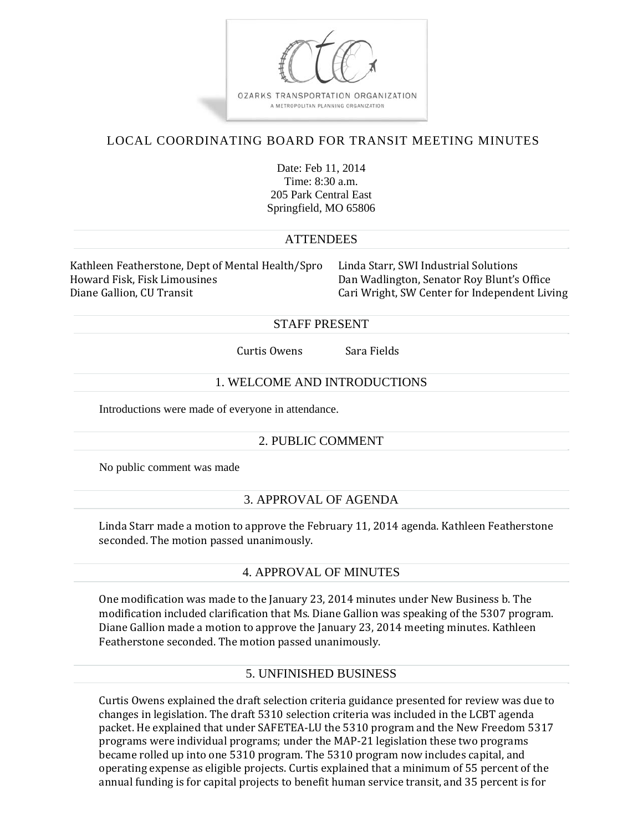

# LOCAL COORDINATING BOARD FOR TRANSIT MEETING MINUTES

Date: Feb 11, 2014 Time:  $8.30 a m$ 205 Park Central East Springfield, MO 65806

## **ATTENDEES**

Kathleen Featherstone, Dept of Mental Health/Spro Linda Starr, SWI Industrial Solutions Howard Fisk, Fisk Limousines The South Canadia Dan Wadlington, Senator Roy Blunt's Office Diane Gallion, CU Transit **Cari Cari** Cari Wright, SW Center for Independent Living

#### STAFF PRESENT

Curtis Owens Sara Fields

#### 1. WELCOME AND INTRODUCTIONS

Introductions were made of everyone in attendance.

## 2. PUBLIC COMMENT

No public comment was made

## 3. APPROVAL OF AGENDA

Linda Starr made a motion to approve the February 11, 2014 agenda. Kathleen Featherstone seconded. The motion passed unanimously.

## 4. APPROVAL OF MINUTES

One modification was made to the January 23, 2014 minutes under New Business b. The modification included clarification that Ms. Diane Gallion was speaking of the 5307 program. Diane Gallion made a motion to approve the January 23, 2014 meeting minutes. Kathleen Featherstone seconded. The motion passed unanimously.

## 5. UNFINISHED BUSINESS

Curtis Owens explained the draft selection criteria guidance presented for review was due to changes in legislation. The draft 5310 selection criteria was included in the LCBT agenda packet. He explained that under SAFETEA-LU the 5310 program and the New Freedom 5317 programs were individual programs; under the MAP-21 legislation these two programs became rolled up into one 5310 program. The 5310 program now includes capital, and operating expense as eligible projects. Curtis explained that a minimum of 55 percent of the annual funding is for capital projects to benefit human service transit, and 35 percent is for